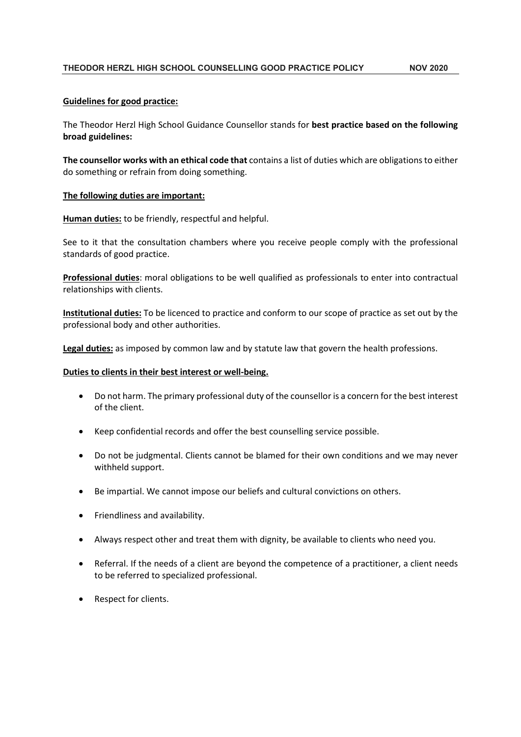# THEODOR HERZL HIGH SCHOOL COUNSELLING GOOD PRACTICE POLICY NOV 2020

# Guidelines for good practice:

The Theodor Herzl High School Guidance Counsellor stands for best practice based on the following broad guidelines:

The counsellor works with an ethical code that contains a list of duties which are obligations to either do something or refrain from doing something.

# The following duties are important:

Human duties: to be friendly, respectful and helpful.

See to it that the consultation chambers where you receive people comply with the professional standards of good practice.

Professional duties: moral obligations to be well qualified as professionals to enter into contractual relationships with clients.

Institutional duties: To be licenced to practice and conform to our scope of practice as set out by the professional body and other authorities.

Legal duties: as imposed by common law and by statute law that govern the health professions.

#### Duties to clients in their best interest or well-being.

- Do not harm. The primary professional duty of the counsellor is a concern for the best interest of the client.
- Keep confidential records and offer the best counselling service possible.
- Do not be judgmental. Clients cannot be blamed for their own conditions and we may never withheld support.
- Be impartial. We cannot impose our beliefs and cultural convictions on others.
- Friendliness and availability.
- Always respect other and treat them with dignity, be available to clients who need you.
- Referral. If the needs of a client are beyond the competence of a practitioner, a client needs to be referred to specialized professional.
- Respect for clients.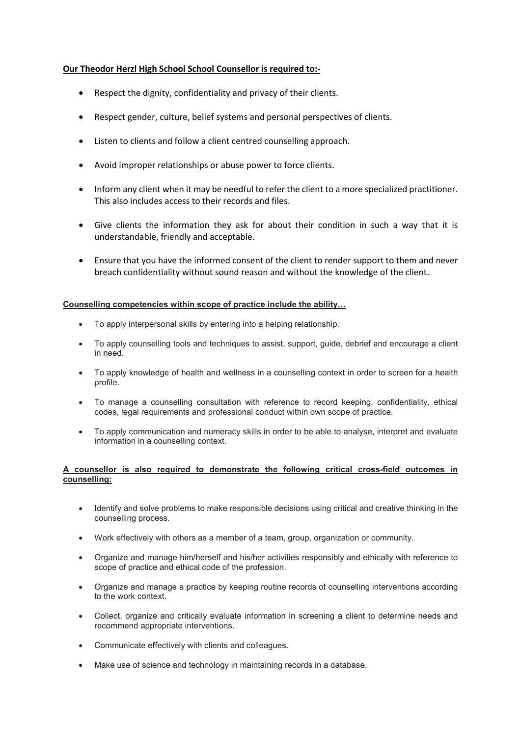# Our Theodor Herzl High School School Counsellor is required to:-

- Respect the dignity, confidentiality and privacy of their clients.
- Respect gender, culture, belief systems and personal perspectives of clients.
- Listen to clients and follow a client centred counselling approach.
- Avoid improper relationships or abuse power to force clients.
- Inform any client when it may be needful to refer the client to a more specialized practitioner. This also includes access to their records and files.
- Give clients the information they ask for about their condition in such a way that it is understandable, friendly and acceptable.
- Ensure that you have the informed consent of the client to render support to them and never breach confidentiality without sound reason and without the knowledge of the client.

# Counselling competencies within scope of practice include the ability…

- To apply interpersonal skills by entering into a helping relationship.
- To apply counselling tools and techniques to assist, support, guide, debrief and encourage a client in need.
- To apply knowledge of health and wellness in a counselling context in order to screen for a health profile.
- To manage a counselling consultation with reference to record keeping, confidentiality, ethical codes, legal requirements and professional conduct within own scope of practice.
- To apply communication and numeracy skills in order to be able to analyse, interpret and evaluate information in a counselling context.

# A counsellor is also required to demonstrate the following critical cross-field outcomes in counselling:

- Identify and solve problems to make responsible decisions using critical and creative thinking in the counselling process.
- Work effectively with others as a member of a team, group, organization or community.
- Organize and manage him/herself and his/her activities responsibly and ethically with reference to scope of practice and ethical code of the profession.
- Organize and manage a practice by keeping routine records of counselling interventions according to the work context.
- Collect, organize and critically evaluate information in screening a client to determine needs and recommend appropriate interventions.
- Communicate effectively with clients and colleagues.
- Make use of science and technology in maintaining records in a database.